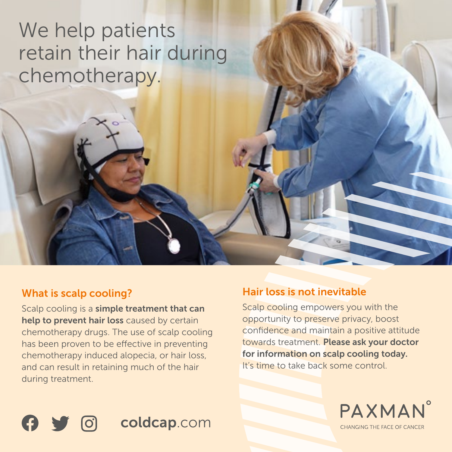# We help patients retain their hair during chemotherapy.

### What is scalp cooling?

Scalp cooling is a simple treatment that can help to prevent hair loss caused by certain chemotherapy drugs. The use of scalp cooling has been proven to be effective in preventing chemotherapy induced alopecia, or hair loss, and can result in retaining much of the hair during treatment.

### Hair loss is not inevitable

Scalp cooling empowers you with the opportunity to preserve privacy, boost confidence and maintain a positive attitude towards treatment. Please ask your doctor for information on scalp cooling today. It's time to take back some control.